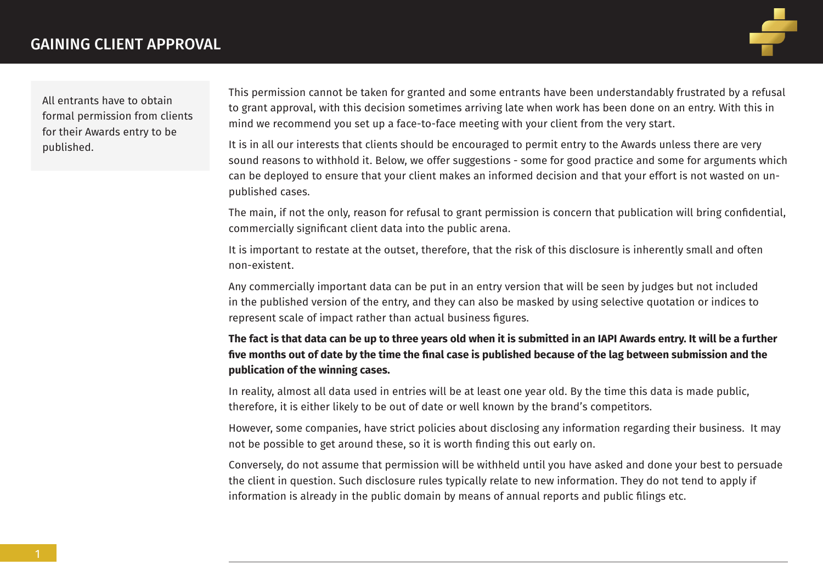

All entrants have to obtain formal permission from clients for their Awards entry to be published.

This permission cannot be taken for granted and some entrants have been understandably frustrated by a refusal to grant approval, with this decision sometimes arriving late when work has been done on an entry. With this in mind we recommend you set up a face-to-face meeting with your client from the very start.

It is in all our interests that clients should be encouraged to permit entry to the Awards unless there are very sound reasons to withhold it. Below, we offer suggestions - some for good practice and some for arguments which can be deployed to ensure that your client makes an informed decision and that your effort is not wasted on unpublished cases.

The main, if not the only, reason for refusal to grant permission is concern that publication will bring confidential, commercially significant client data into the public arena.

It is important to restate at the outset, therefore, that the risk of this disclosure is inherently small and often non-existent.

Any commercially important data can be put in an entry version that will be seen by judges but not included in the published version of the entry, and they can also be masked by using selective quotation or indices to represent scale of impact rather than actual business figures.

#### **The fact is that data can be up to three years old when it is submitted in an IAPI Awards entry. It will be a further five months out of date by the time the final case is published because of the lag between submission and the publication of the winning cases.**

In reality, almost all data used in entries will be at least one year old. By the time this data is made public, therefore, it is either likely to be out of date or well known by the brand's competitors.

However, some companies, have strict policies about disclosing any information regarding their business. It may not be possible to get around these, so it is worth finding this out early on.

Conversely, do not assume that permission will be withheld until you have asked and done your best to persuade the client in question. Such disclosure rules typically relate to new information. They do not tend to apply if information is already in the public domain by means of annual reports and public filings etc.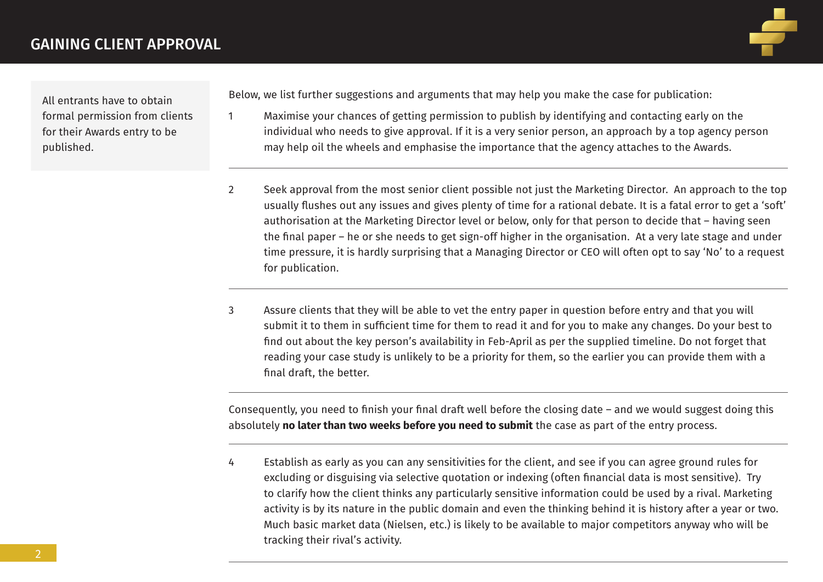

All entrants have to obtain formal permission from clients for their Awards entry to be published.

Below, we list further suggestions and arguments that may help you make the case for publication:

- 1 Maximise your chances of getting permission to publish by identifying and contacting early on the individual who needs to give approval. If it is a very senior person, an approach by a top agency person may help oil the wheels and emphasise the importance that the agency attaches to the Awards.
- 2 Seek approval from the most senior client possible not just the Marketing Director. An approach to the top usually flushes out any issues and gives plenty of time for a rational debate. It is a fatal error to get a 'soft' authorisation at the Marketing Director level or below, only for that person to decide that – having seen the final paper – he or she needs to get sign-off higher in the organisation. At a very late stage and under time pressure, it is hardly surprising that a Managing Director or CEO will often opt to say 'No' to a request for publication.
- 3 Assure clients that they will be able to vet the entry paper in question before entry and that you will submit it to them in sufficient time for them to read it and for you to make any changes. Do your best to find out about the key person's availability in Feb-April as per the supplied timeline. Do not forget that reading your case study is unlikely to be a priority for them, so the earlier you can provide them with a final draft, the better.

Consequently, you need to finish your final draft well before the closing date – and we would suggest doing this absolutely **no later than two weeks before you need to submit** the case as part of the entry process.

4 Establish as early as you can any sensitivities for the client, and see if you can agree ground rules for excluding or disguising via selective quotation or indexing (often financial data is most sensitive). Try to clarify how the client thinks any particularly sensitive information could be used by a rival. Marketing activity is by its nature in the public domain and even the thinking behind it is history after a year or two. Much basic market data (Nielsen, etc.) is likely to be available to major competitors anyway who will be tracking their rival's activity.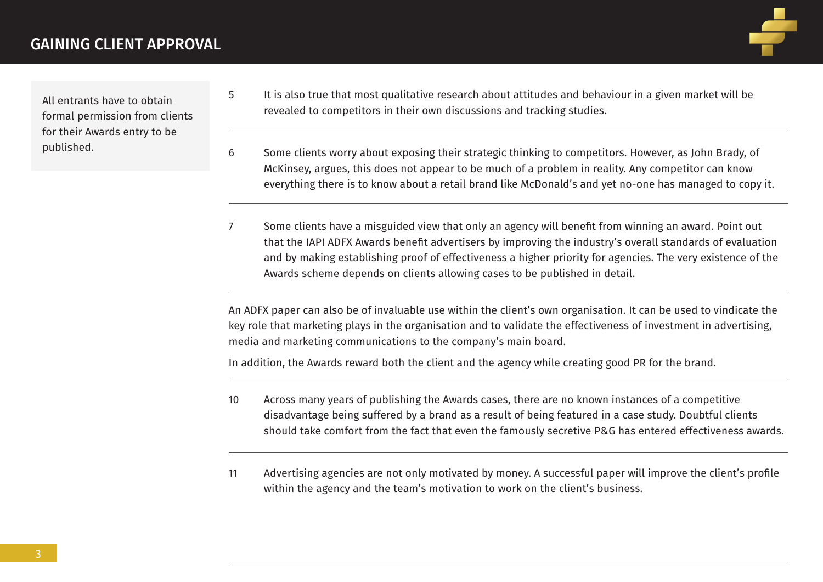

All entrants have to obtain formal permission from clients for their Awards entry to be published.

- 5 It is also true that most qualitative research about attitudes and behaviour in a given market will be revealed to competitors in their own discussions and tracking studies.
- 6 Some clients worry about exposing their strategic thinking to competitors. However, as John Brady, of McKinsey, argues, this does not appear to be much of a problem in reality. Any competitor can know everything there is to know about a retail brand like McDonald's and yet no-one has managed to copy it.
- 7 Some clients have a misguided view that only an agency will benefit from winning an award. Point out that the IAPI ADFX Awards benefit advertisers by improving the industry's overall standards of evaluation and by making establishing proof of effectiveness a higher priority for agencies. The very existence of the Awards scheme depends on clients allowing cases to be published in detail.

An ADFX paper can also be of invaluable use within the client's own organisation. It can be used to vindicate the key role that marketing plays in the organisation and to validate the effectiveness of investment in advertising, media and marketing communications to the company's main board.

In addition, the Awards reward both the client and the agency while creating good PR for the brand.

- 10 Across many years of publishing the Awards cases, there are no known instances of a competitive disadvantage being suffered by a brand as a result of being featured in a case study. Doubtful clients should take comfort from the fact that even the famously secretive P&G has entered effectiveness awards.
- 11 Advertising agencies are not only motivated by money. A successful paper will improve the client's profile within the agency and the team's motivation to work on the client's business.